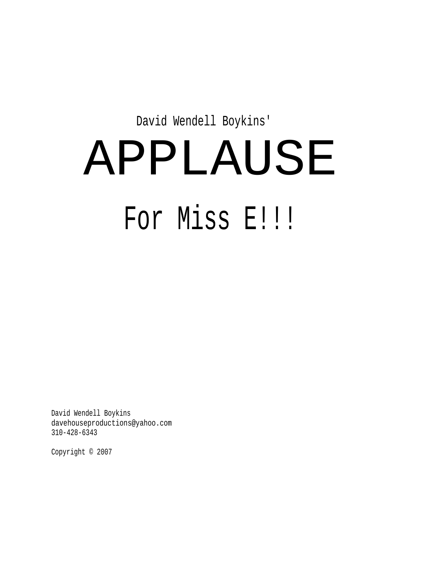David Wendell Boykins'

# APPLAUSE For Miss E!!!!

David Wendell Boykins davehouseproductions@yahoo.com 310-428-6343

Copyright © 2007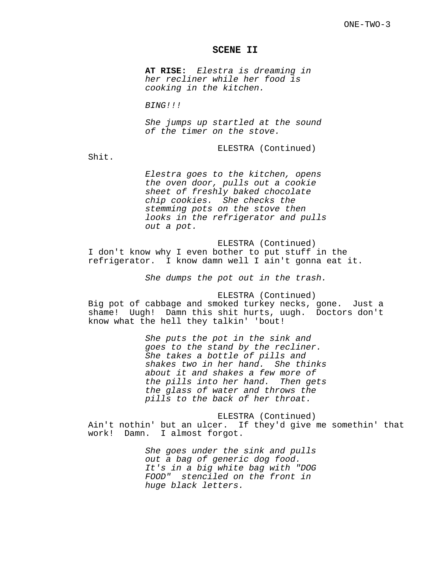# **SCENE II**

**AT RISE:** Elestra is dreaming in her recliner while her food is cooking in the kitchen.

BING!!!

She jumps up startled at the sound of the timer on the stove.

ELESTRA (Continued)

Shit.

Elestra goes to the kitchen, opens the oven door, pulls out a cookie sheet of freshly baked chocolate chip cookies. She checks the stemming pots on the stove then looks in the refrigerator and pulls out a pot.

ELESTRA (Continued) I don't know why I even bother to put stuff in the refrigerator. I know damn well I ain't gonna eat it.

She dumps the pot out in the trash.

ELESTRA (Continued) Big pot of cabbage and smoked turkey necks, gone. Just a shame! Uugh! Damn this shit hurts, uugh. Doctors don't know what the hell they talkin' 'bout!

> She puts the pot in the sink and goes to the stand by the recliner. She takes a bottle of pills and shakes two in her hand. She thinks about it and shakes a few more of the pills into her hand. Then gets the glass of water and throws the pills to the back of her throat.

ELESTRA (Continued) Ain't nothin' but an ulcer. If they'd give me somethin' that work! Damn. I almost forgot.

> She goes under the sink and pulls out a bag of generic dog food. It's in a big white bag with "DOG FOOD" stenciled on the front in huge black letters.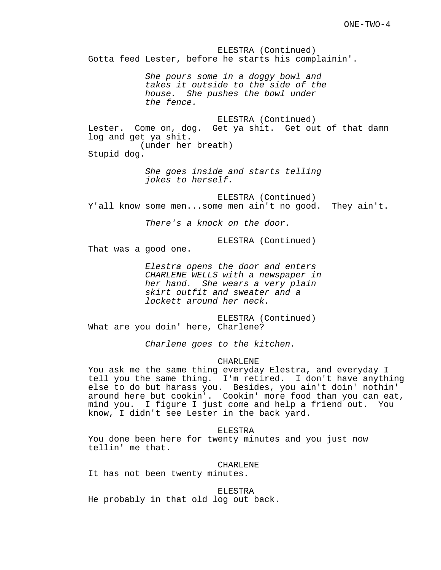ELESTRA (Continued) Gotta feed Lester, before he starts his complainin'. She pours some in a doggy bowl and takes it outside to the side of the house. She pushes the bowl under the fence. ELESTRA (Continued) Lester. Come on, dog. Get ya shit. Get out of that damn log and get ya shit. (under her breath) Stupid dog. She goes inside and starts telling jokes to herself. ELESTRA (Continued) Y'all know some men...some men ain't no good. They ain't. There's a knock on the door. ELESTRA (Continued) That was a good one. Elestra opens the door and enters CHARLENE WELLS with a newspaper in her hand. She wears a very plain skirt outfit and sweater and a lockett around her neck. ELESTRA (Continued) What are you doin' here, Charlene? Charlene goes to the kitchen. CHARLENE You ask me the same thing everyday Elestra, and everyday I tell you the same thing. I'm retired. I don't have anything else to do but harass you. Besides, you ain't doin' nothin' around here but cookin'. Cookin' more food than you can eat, mind you. I figure I just come and help a friend out. You know, I didn't see Lester in the back yard. ELESTRA You done been here for twenty minutes and you just now tellin' me that.

CHARLENE

It has not been twenty minutes.

ELESTRA He probably in that old log out back.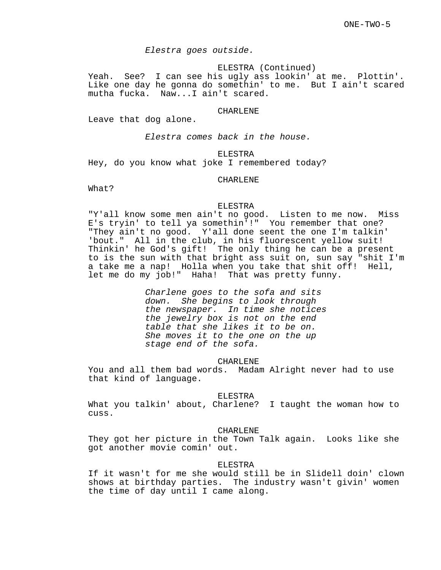Elestra goes outside.

ELESTRA (Continued)

Yeah. See? I can see his ugly ass lookin' at me. Plottin'. Like one day he gonna do somethin' to me. But I ain't scared mutha fucka. Naw...I ain't scared.

#### CHARLENE

Leave that dog alone.

Elestra comes back in the house.

# ELESTRA

Hey, do you know what joke I remembered today?

# CHARLENE

What?

# ELESTRA

"Y'all know some men ain't no good. Listen to me now. Miss E's tryin' to tell ya somethin'!" You remember that one? "They ain't no good. Y'all done seent the one I'm talkin' 'bout." All in the club, in his fluorescent yellow suit! Thinkin' he God's gift! The only thing he can be a present to is the sun with that bright ass suit on, sun say "shit I'm a take me a nap! Holla when you take that shit off! Hell, let me do my job!" Haha! That was pretty funny.

> Charlene goes to the sofa and sits down. She begins to look through the newspaper. In time she notices the jewelry box is not on the end table that she likes it to be on. She moves it to the one on the up stage end of the sofa.

> > CHARLENE

You and all them bad words. Madam Alright never had to use that kind of language.

#### ELESTRA

What you talkin' about, Charlene? I taught the woman how to cuss.

# CHARLENE

They got her picture in the Town Talk again. Looks like she got another movie comin' out.

#### ELESTRA

If it wasn't for me she would still be in Slidell doin' clown shows at birthday parties. The industry wasn't givin' women the time of day until I came along.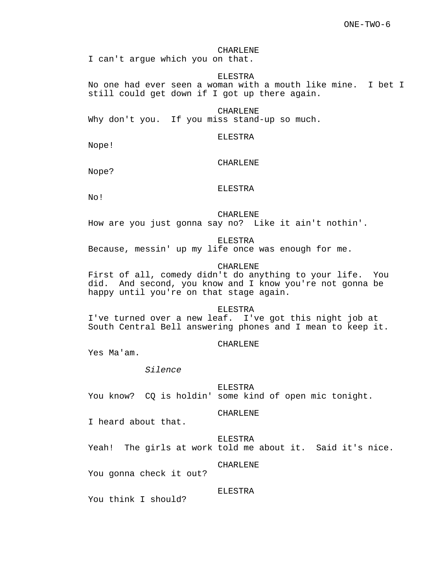#### CHARLENE

I can't argue which you on that.

#### ELESTRA

No one had ever seen a woman with a mouth like mine. I bet I still could get down if I got up there again.

#### CHARLENE

Why don't you. If you miss stand-up so much.

# ELESTRA

Nope!

# CHARLENE

Nope?

# ELESTRA

No!

#### CHARLENE

How are you just gonna say no? Like it ain't nothin'.

# ELESTRA

Because, messin' up my life once was enough for me.

# CHARLENE

First of all, comedy didn't do anything to your life. You did. And second, you know and I know you're not gonna be happy until you're on that stage again.

#### ELESTRA

I've turned over a new leaf. I've got this night job at South Central Bell answering phones and I mean to keep it.

# CHARLENE

Yes Ma'am.

#### Silence

ELESTRA You know? CQ is holdin' some kind of open mic tonight.

#### CHARLENE

I heard about that.

### ELESTRA

Yeah! The girls at work told me about it. Said it's nice.

CHARLENE

You gonna check it out?

# ELESTRA

You think I should?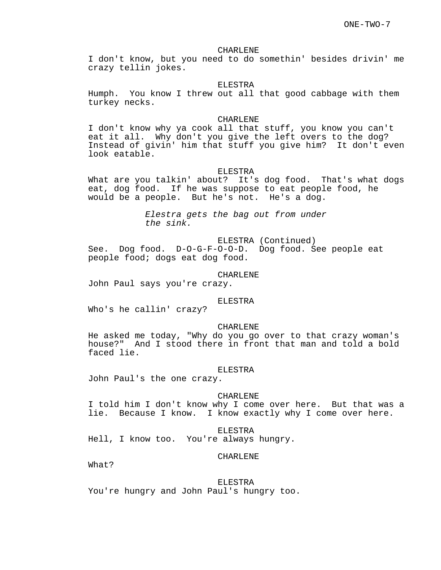# CHARLENE

I don't know, but you need to do somethin' besides drivin' me crazy tellin jokes.

#### ELESTRA

Humph. You know I threw out all that good cabbage with them turkey necks.

#### CHARLENE

I don't know why ya cook all that stuff, you know you can't eat it all. Why don't you give the left overs to the dog? Instead of givin' him that stuff you give him? It don't even look eatable.

#### ELESTRA

What are you talkin' about? It's dog food. That's what dogs eat, dog food. If he was suppose to eat people food, he would be a people. But he's not. He's a dog.

> Elestra gets the bag out from under the sink.

ELESTRA (Continued) See. Dog food. D-O-G-F-O-O-D. Dog food. See people eat people food; dogs eat dog food.

#### CHARLENE

John Paul says you're crazy.

# ELESTRA

Who's he callin' crazy?

### CHARLENE

He asked me today, "Why do you go over to that crazy woman's house?" And I stood there in front that man and told a bold faced lie.

#### ELESTRA

John Paul's the one crazy.

# CHARLENE

I told him I don't know why I come over here. But that was a lie. Because I know. I know exactly why I come over here.

ELESTRA

Hell, I know too. You're always hungry.

#### CHARLENE

What?

#### ELESTRA

You're hungry and John Paul's hungry too.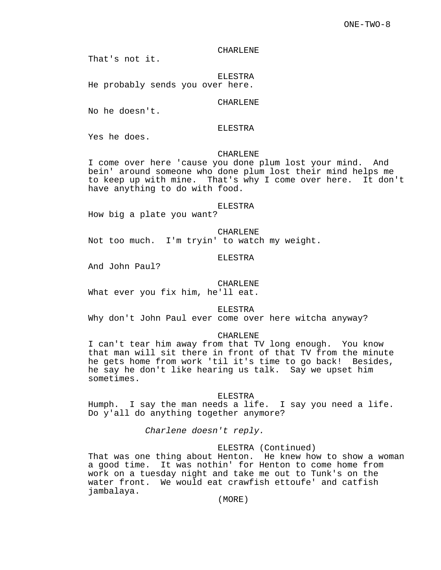#### CHARLENE

That's not it.

ELESTRA He probably sends you over here.

# CHARLENE

No he doesn't.

# ELESTRA

Yes he does.

# CHARLENE

I come over here 'cause you done plum lost your mind. And bein' around someone who done plum lost their mind helps me to keep up with mine. That's why I come over here. It don't have anything to do with food.

#### ELESTRA

How big a plate you want?

CHARLENE Not too much. I'm tryin' to watch my weight.

#### ELESTRA

And John Paul?

#### CHARLENE

What ever you fix him, he'll eat.

ELESTRA

Why don't John Paul ever come over here witcha anyway?

#### CHARLENE

I can't tear him away from that TV long enough. You know that man will sit there in front of that TV from the minute he gets home from work 'til it's time to go back! Besides, he say he don't like hearing us talk. Say we upset him sometimes.

#### ELESTRA

Humph. I say the man needs a life. I say you need a life. Do y'all do anything together anymore?

Charlene doesn't reply.

# ELESTRA (Continued)

That was one thing about Henton. He knew how to show a woman a good time. It was nothin' for Henton to come home from work on a tuesday night and take me out to Tunk's on the water front. We would eat crawfish ettoufe' and catfish jambalaya.

(MORE)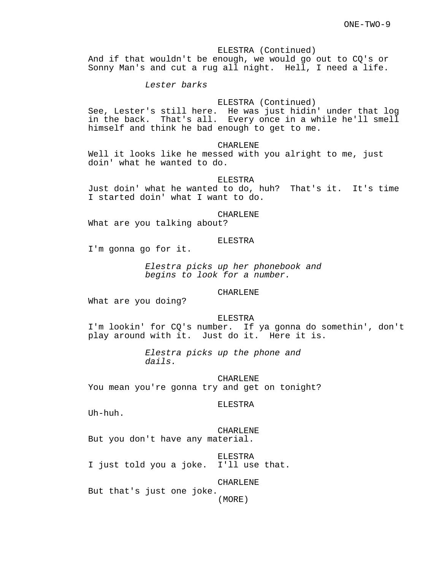ELESTRA (Continued) And if that wouldn't be enough, we would go out to CQ's or Sonny Man's and cut a rug all night. Hell, I need a life.

# Lester barks

# ELESTRA (Continued)

See, Lester's still here. He was just hidin' under that log in the back. That's all. Every once in a while he'll smell himself and think he bad enough to get to me.

#### CHARLENE

Well it looks like he messed with you alright to me, just doin' what he wanted to do.

#### ELESTRA

Just doin' what he wanted to do, huh? That's it. It's time I started doin' what I want to do.

# CHARLENE

What are you talking about?

#### ELESTRA

I'm gonna go for it.

Elestra picks up her phonebook and begins to look for a number.

# CHARLENE

What are you doing?

ELESTRA

I'm lookin' for CQ's number. If ya gonna do somethin', don't play around with it. Just do it. Here it is.

> Elestra picks up the phone and dails.

CHARLENE You mean you're gonna try and get on tonight?

ELESTRA

Uh-huh.

CHARLENE But you don't have any material.

ELESTRA I just told you a joke. I'll use that.

CHARLENE

But that's just one joke.

(MORE)